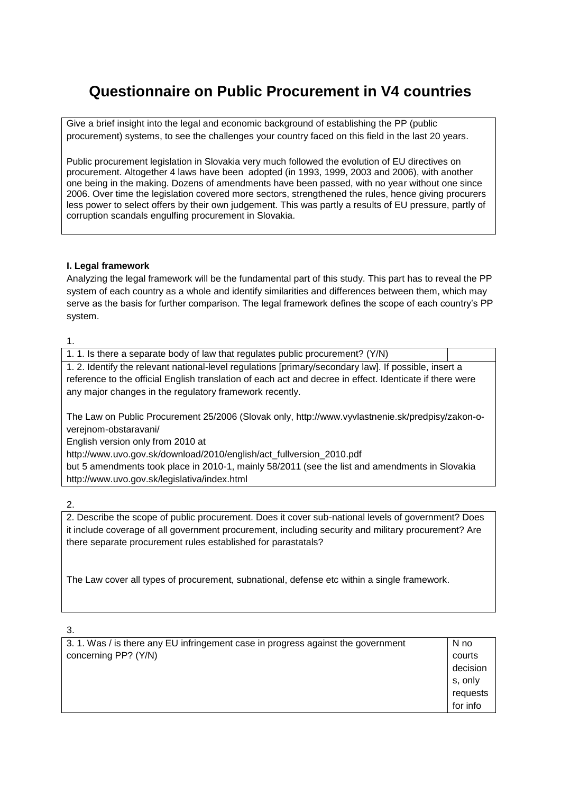# **Questionnaire on Public Procurement in V4 countries**

Give a brief insight into the legal and economic background of establishing the PP (public procurement) systems, to see the challenges your country faced on this field in the last 20 years.

Public procurement legislation in Slovakia very much followed the evolution of EU directives on procurement. Altogether 4 laws have been adopted (in 1993, 1999, 2003 and 2006), with another one being in the making. Dozens of amendments have been passed, with no year without one since 2006. Over time the legislation covered more sectors, strengthened the rules, hence giving procurers less power to select offers by their own judgement. This was partly a results of EU pressure, partly of corruption scandals engulfing procurement in Slovakia.

## **I. Legal framework**

Analyzing the legal framework will be the fundamental part of this study. This part has to reveal the PP system of each country as a whole and identify similarities and differences between them, which may serve as the basis for further comparison. The legal framework defines the scope of each country's PP system.

#### 1.

| 1.1. Is there a separate body of law that regulates public procurement? (Y/N)                            |  |
|----------------------------------------------------------------------------------------------------------|--|
| 1.2. Identify the relevant national-level regulations [primary/secondary law]. If possible, insert a     |  |
| reference to the official English translation of each act and decree in effect. Identicate if there were |  |
| any major changes in the regulatory framework recently.                                                  |  |
|                                                                                                          |  |
| The Law on Public Procurement 25/2006 (Slovak only, http://www.vyvlastnenie.sk/predpisy/zakon-o-         |  |
| verejnom-obstaravani/                                                                                    |  |
| English version only from 2010 at                                                                        |  |
| bttp://www.co.co.co.co/dewaleral/0040/applich/ant.fullyperian.co.0040.pdf                                |  |

http://www.uvo.gov.sk/download/2010/english/act\_fullversion\_2010.pdf but 5 amendments took place in 2010-1, mainly 58/2011 (see the list and amendments in Slovakia http://www.uvo.gov.sk/legislativa/index.html

2.

2. Describe the scope of public procurement. Does it cover sub-national levels of government? Does it include coverage of all government procurement, including security and military procurement? Are there separate procurement rules established for parastatals?

The Law cover all types of procurement, subnational, defense etc within a single framework.

| N no     |
|----------|
| courts   |
| decision |
| s, only  |
| requests |
| for info |
|          |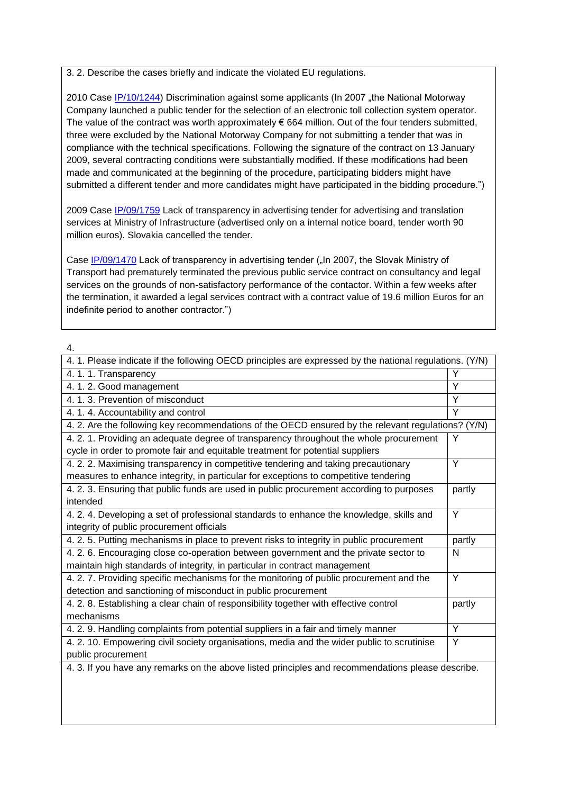3. 2. Describe the cases briefly and indicate the violated EU regulations.

2010 Case [IP/10/1244\)](http://europa.eu/rapid/pressReleasesAction.do?reference=IP/10/1244&format=HTML&aged=0&language=en&guiLanguage=en) Discrimination against some applicants (In 2007 "the National Motorway Company launched a public tender for the selection of an electronic toll collection system operator. The value of the contract was worth approximately  $\epsilon$  664 million. Out of the four tenders submitted, three were excluded by the National Motorway Company for not submitting a tender that was in compliance with the technical specifications. Following the signature of the contract on 13 January 2009, several contracting conditions were substantially modified. If these modifications had been made and communicated at the beginning of the procedure, participating bidders might have submitted a different tender and more candidates might have participated in the bidding procedure.")

2009 Case [IP/09/1759](http://europa.eu/rapid/pressReleasesAction.do?reference=IP/09/1759&format=HTML&aged=0&language=EN&guiLanguage=en) Lack of transparency in advertising tender for advertising and translation services at Ministry of Infrastructure (advertised only on a internal notice board, tender worth 90 million euros). Slovakia cancelled the tender.

Case [IP/09/1470](http://europa.eu/rapid/pressReleasesAction.do?reference=IP/09/1470&format=HTML&aged=0&language=EN&guiLanguage=en) Lack of transparency in advertising tender ("In 2007, the Slovak Ministry of Transport had prematurely terminated the previous public service contract on consultancy and legal services on the grounds of non-satisfactory performance of the contactor. Within a few weeks after the termination, it awarded a legal services contract with a contract value of 19.6 million Euros for an indefinite period to another contractor.")

| 4. 1. Please indicate if the following OECD principles are expressed by the national regulations. (Y/N) |        |
|---------------------------------------------------------------------------------------------------------|--------|
| 4.1.1. Transparency                                                                                     | Y      |
| 4. 1. 2. Good management                                                                                | Y      |
| 4.1.3. Prevention of misconduct                                                                         | Y      |
| 4. 1. 4. Accountability and control                                                                     | Y      |
| 4. 2. Are the following key recommendations of the OECD ensured by the relevant regulations? (Y/N)      |        |
| 4. 2. 1. Providing an adequate degree of transparency throughout the whole procurement                  | Y      |
| cycle in order to promote fair and equitable treatment for potential suppliers                          |        |
| 4.2.2. Maximising transparency in competitive tendering and taking precautionary                        | Y      |
| measures to enhance integrity, in particular for exceptions to competitive tendering                    |        |
| 4. 2. 3. Ensuring that public funds are used in public procurement according to purposes                | partly |
| intended                                                                                                |        |
| 4. 2. 4. Developing a set of professional standards to enhance the knowledge, skills and                | Y      |
| integrity of public procurement officials                                                               |        |
| 4.2.5. Putting mechanisms in place to prevent risks to integrity in public procurement                  | partly |
| 4. 2. 6. Encouraging close co-operation between government and the private sector to                    | N      |
| maintain high standards of integrity, in particular in contract management                              |        |
| 4.2.7. Providing specific mechanisms for the monitoring of public procurement and the                   | Y      |
| detection and sanctioning of misconduct in public procurement                                           |        |
| 4. 2. 8. Establishing a clear chain of responsibility together with effective control                   | partly |
| mechanisms                                                                                              |        |
| 4. 2. 9. Handling complaints from potential suppliers in a fair and timely manner                       | Y      |
| 4. 2. 10. Empowering civil society organisations, media and the wider public to scrutinise              | Y      |
| public procurement                                                                                      |        |
| 4. 3. If you have any remarks on the above listed principles and recommendations please describe.       |        |
|                                                                                                         |        |
|                                                                                                         |        |
|                                                                                                         |        |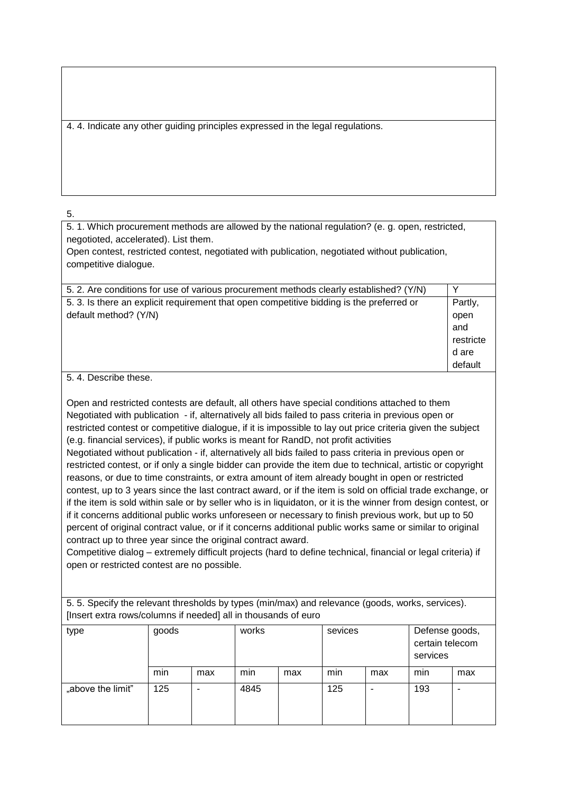4. 4. Indicate any other guiding principles expressed in the legal regulations.

5.

5. 1. Which procurement methods are allowed by the national regulation? (e. g. open, restricted, negotioted, accelerated). List them.

Open contest, restricted contest, negotiated with publication, negotiated without publication, competitive dialogue.

| Partly,   |
|-----------|
| open      |
| and       |
| restricte |
| d are     |
| default   |
|           |

5. 4. Describe these.

Open and restricted contests are default, all others have special conditions attached to them Negotiated with publication - if, alternatively all bids failed to pass criteria in previous open or restricted contest or competitive dialogue, if it is impossible to lay out price criteria given the subject (e.g. financial services), if public works is meant for RandD, not profit activities Negotiated without publication - if, alternatively all bids failed to pass criteria in previous open or restricted contest, or if only a single bidder can provide the item due to technical, artistic or copyright reasons, or due to time constraints, or extra amount of item already bought in open or restricted contest, up to 3 years since the last contract award, or if the item is sold on official trade exchange, or if the item is sold within sale or by seller who is in liquidaton, or it is the winner from design contest, or if it concerns additional public works unforeseen or necessary to finish previous work, but up to 50 percent of original contract value, or if it concerns additional public works same or similar to original contract up to three year since the original contract award.

Competitive dialog – extremely difficult projects (hard to define technical, financial or legal criteria) if open or restricted contest are no possible.

5. 5. Specify the relevant thresholds by types (min/max) and relevance (goods, works, services). [Insert extra rows/columns if needed] all in thousands of euro

| type              | goods |     | works<br>sevices |     |     | Defense goods,<br>certain telecom<br>services |     |     |
|-------------------|-------|-----|------------------|-----|-----|-----------------------------------------------|-----|-----|
|                   | min   | max | min              | max | min | max                                           | min | max |
| "above the limit" | 125   |     | 4845             |     | 125 |                                               | 193 |     |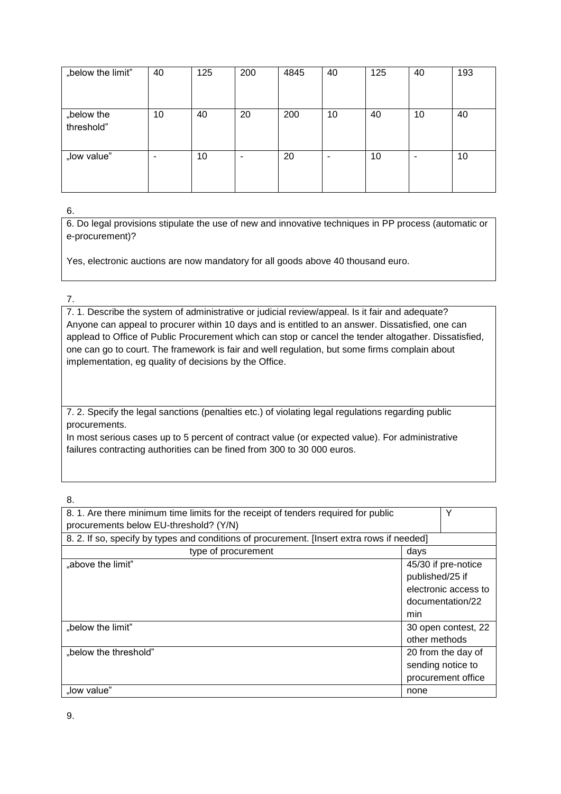| "below the limit"        | 40 | 125 | 200 | 4845 | 40 | 125 | 40 | 193 |
|--------------------------|----|-----|-----|------|----|-----|----|-----|
| "below the<br>threshold" | 10 | 40  | 20  | 200  | 10 | 40  | 10 | 40  |
| "low value"              | ۰  | 10  | ۰   | 20   | ۰  | 10  |    | 10  |

6. Do legal provisions stipulate the use of new and innovative techniques in PP process (automatic or e-procurement)?

Yes, electronic auctions are now mandatory for all goods above 40 thousand euro.

## 7.

7. 1. Describe the system of administrative or judicial review/appeal. Is it fair and adequate? Anyone can appeal to procurer within 10 days and is entitled to an answer. Dissatisfied, one can applead to Office of Public Procurement which can stop or cancel the tender altogather. Dissatisfied, one can go to court. The framework is fair and well regulation, but some firms complain about implementation, eg quality of decisions by the Office.

7. 2. Specify the legal sanctions (penalties etc.) of violating legal regulations regarding public procurements.

In most serious cases up to 5 percent of contract value (or expected value). For administrative failures contracting authorities can be fined from 300 to 30 000 euros.

| 8. 1. Are there minimum time limits for the receipt of tenders required for public         |                      | Υ                   |
|--------------------------------------------------------------------------------------------|----------------------|---------------------|
| procurements below EU-threshold? (Y/N)                                                     |                      |                     |
| 8. 2. If so, specify by types and conditions of procurement. [Insert extra rows if needed] |                      |                     |
| type of procurement                                                                        | days                 |                     |
| "above the limit"                                                                          |                      | 45/30 if pre-notice |
|                                                                                            | published/25 if      |                     |
|                                                                                            | electronic access to |                     |
|                                                                                            | documentation/22     |                     |
|                                                                                            | min                  |                     |
| "below the limit"                                                                          | 30 open contest, 22  |                     |
|                                                                                            | other methods        |                     |
| "below the threshold"                                                                      | 20 from the day of   |                     |
|                                                                                            |                      | sending notice to   |
|                                                                                            |                      | procurement office  |
| "low value"                                                                                | none                 |                     |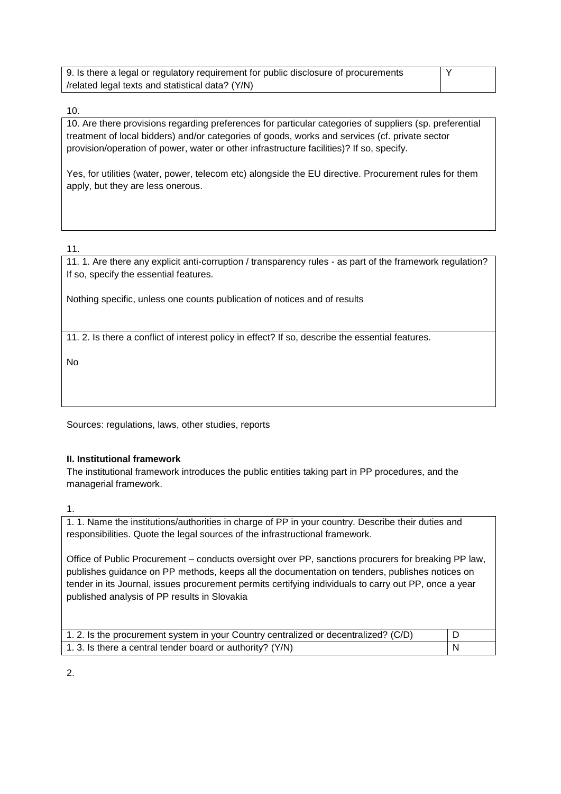| 9. Is there a legal or regulatory requirement for public disclosure of procurements |  |
|-------------------------------------------------------------------------------------|--|
| /related legal texts and statistical data? (Y/N)                                    |  |

10. Are there provisions regarding preferences for particular categories of suppliers (sp. preferential treatment of local bidders) and/or categories of goods, works and services (cf. private sector provision/operation of power, water or other infrastructure facilities)? If so, specify.

Yes, for utilities (water, power, telecom etc) alongside the EU directive. Procurement rules for them apply, but they are less onerous.

11.

11. 1. Are there any explicit anti-corruption / transparency rules - as part of the framework regulation? If so, specify the essential features.

Nothing specific, unless one counts publication of notices and of results

11. 2. Is there a conflict of interest policy in effect? If so, describe the essential features.

No

Sources: regulations, laws, other studies, reports

## **II. Institutional framework**

The institutional framework introduces the public entities taking part in PP procedures, and the managerial framework.

1.

1. 1. Name the institutions/authorities in charge of PP in your country. Describe their duties and responsibilities. Quote the legal sources of the infrastructional framework.

Office of Public Procurement – conducts oversight over PP, sanctions procurers for breaking PP law, publishes guidance on PP methods, keeps all the documentation on tenders, publishes notices on tender in its Journal, issues procurement permits certifying individuals to carry out PP, once a year published analysis of PP results in Slovakia

| 1.2. Is the procurement system in your Country centralized or decentralized? (C/D) |  |
|------------------------------------------------------------------------------------|--|
| 1. 3. Is there a central tender board or authority? (Y/N)                          |  |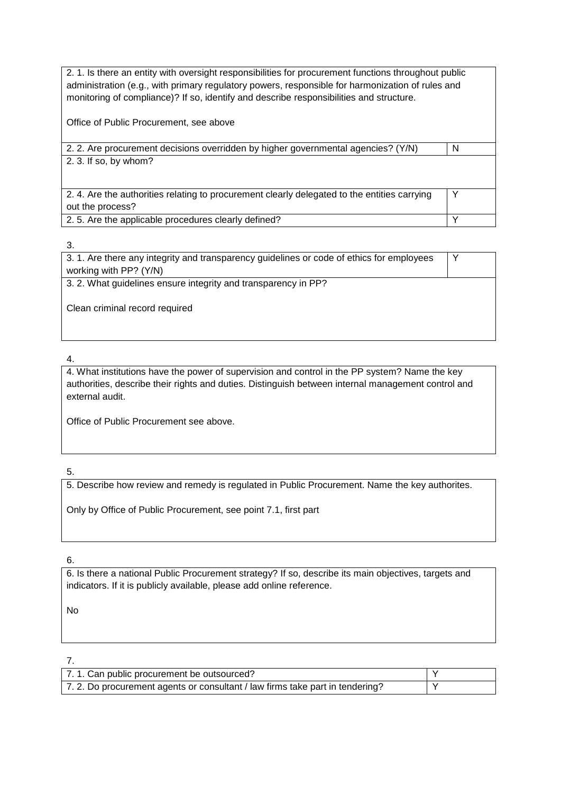| 2. 1. Is there an entity with oversight responsibilities for procurement functions throughout public<br>administration (e.g., with primary regulatory powers, responsible for harmonization of rules and<br>monitoring of compliance)? If so, identify and describe responsibilities and structure. |   |
|-----------------------------------------------------------------------------------------------------------------------------------------------------------------------------------------------------------------------------------------------------------------------------------------------------|---|
| Office of Public Procurement, see above                                                                                                                                                                                                                                                             |   |
| 2. 2. Are procurement decisions overridden by higher governmental agencies? (Y/N)                                                                                                                                                                                                                   | N |
| 2. 3. If so, by whom?                                                                                                                                                                                                                                                                               |   |
|                                                                                                                                                                                                                                                                                                     |   |
| 2.4. Are the authorities relating to procurement clearly delegated to the entities carrying                                                                                                                                                                                                         | Y |
| out the process?                                                                                                                                                                                                                                                                                    |   |
| 2.5. Are the applicable procedures clearly defined?                                                                                                                                                                                                                                                 |   |

| 3.1. Are there any integrity and transparency guidelines or code of ethics for employees |  |
|------------------------------------------------------------------------------------------|--|
| working with PP? (Y/N)                                                                   |  |
| 3. 2. What guidelines ensure integrity and transparency in PP?                           |  |
|                                                                                          |  |
| Clean criminal record required                                                           |  |
|                                                                                          |  |
|                                                                                          |  |

4.

4. What institutions have the power of supervision and control in the PP system? Name the key authorities, describe their rights and duties. Distinguish between internal management control and external audit.

Office of Public Procurement see above.

5.

5. Describe how review and remedy is regulated in Public Procurement. Name the key authorites.

Only by Office of Public Procurement, see point 7.1, first part

## 6.

6. Is there a national Public Procurement strategy? If so, describe its main objectives, targets and indicators. If it is publicly available, please add online reference.

No

| 7.1. Can public procurement be outsourced?                                   |  |
|------------------------------------------------------------------------------|--|
| 7.2. Do procurement agents or consultant / law firms take part in tendering? |  |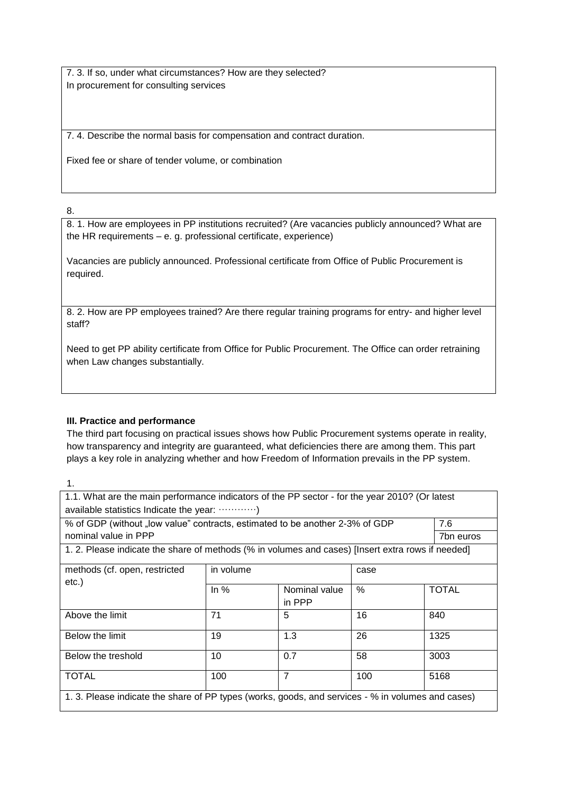7. 3. If so, under what circumstances? How are they selected? In procurement for consulting services

7. 4. Describe the normal basis for compensation and contract duration.

Fixed fee or share of tender volume, or combination

8.

8. 1. How are employees in PP institutions recruited? (Are vacancies publicly announced? What are the HR requirements – e. g. professional certificate, experience)

Vacancies are publicly announced. Professional certificate from Office of Public Procurement is required.

8. 2. How are PP employees trained? Are there regular training programs for entry- and higher level staff?

Need to get PP ability certificate from Office for Public Procurement. The Office can order retraining when Law changes substantially.

## **III. Practice and performance**

The third part focusing on practical issues shows how Public Procurement systems operate in reality, how transparency and integrity are guaranteed, what deficiencies there are among them. This part plays a key role in analyzing whether and how Freedom of Information prevails in the PP system.

| 1.1. What are the main performance indicators of the PP sector - for the year 2010? (Or latest    |           |                |      |              |  |
|---------------------------------------------------------------------------------------------------|-----------|----------------|------|--------------|--|
| available statistics Indicate the year: )                                                         |           |                |      |              |  |
| % of GDP (without "low value" contracts, estimated to be another 2-3% of GDP                      |           |                |      |              |  |
| nominal value in PPP                                                                              |           |                |      |              |  |
| 1.2. Please indicate the share of methods (% in volumes and cases) [Insert extra rows if needed]  |           |                |      |              |  |
| methods (cf. open, restricted                                                                     | in volume |                | case |              |  |
| etc.)                                                                                             | In $%$    | Nominal value  | $\%$ | <b>TOTAL</b> |  |
|                                                                                                   |           | in PPP         |      |              |  |
| Above the limit                                                                                   | 71        | 5              | 16   | 840          |  |
| Below the limit                                                                                   | 19        | 1.3            | 26   | 1325         |  |
| Below the treshold                                                                                | 10        | 0.7            | 58   | 3003         |  |
| <b>TOTAL</b>                                                                                      | 100       | $\overline{7}$ | 100  | 5168         |  |
| 1. 3. Please indicate the share of PP types (works, goods, and services - % in volumes and cases) |           |                |      |              |  |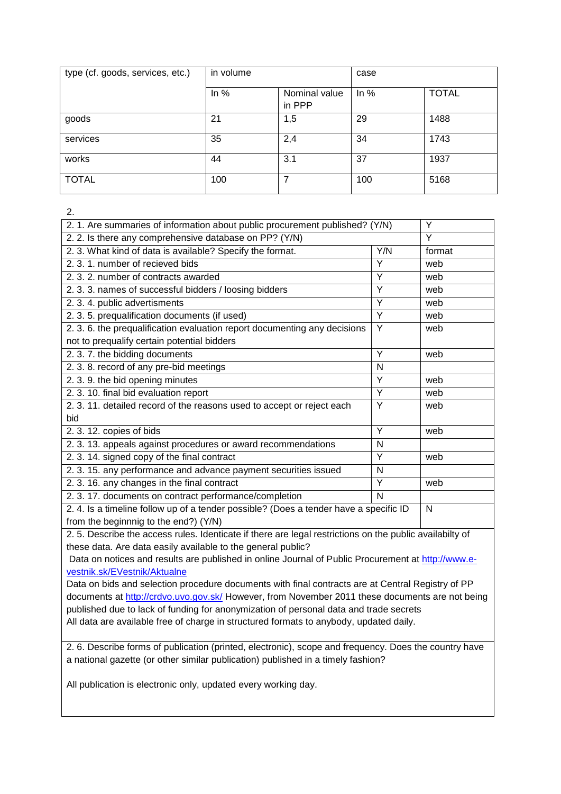| type (cf. goods, services, etc.) | in volume |                         | case   |              |
|----------------------------------|-----------|-------------------------|--------|--------------|
|                                  | In $%$    | Nominal value<br>in PPP | In $%$ | <b>TOTAL</b> |
| goods                            | 21        | 1,5                     | 29     | 1488         |
| services                         | 35        | 2,4                     | 34     | 1743         |
| works                            | 44        | 3.1                     | 37     | 1937         |
| <b>TOTAL</b>                     | 100       | 7                       | 100    | 5168         |

| 2. 1. Are summaries of information about public procurement published? (Y/N)         |     | Y      |
|--------------------------------------------------------------------------------------|-----|--------|
| 2. 2. Is there any comprehensive database on PP? (Y/N)                               | Y   |        |
| 2. 3. What kind of data is available? Specify the format.                            | Y/N | format |
| 2.3.1. number of recieved bids                                                       | Υ   | web    |
| 2, 3, 2, number of contracts awarded                                                 | Y   | web    |
| 2. 3. 3. names of successful bidders / loosing bidders                               | Y   | web    |
| 2. 3. 4. public advertisments                                                        | Y   | web    |
| 2. 3. 5. prequalification documents (if used)                                        | Y   | web    |
| 2. 3. 6. the prequalification evaluation report documenting any decisions            | Y   | web    |
| not to prequalify certain potential bidders                                          |     |        |
| 2. 3. 7. the bidding documents                                                       | Y   | web    |
| 2. 3. 8. record of any pre-bid meetings                                              | N   |        |
| 2. 3. 9. the bid opening minutes                                                     | Y   | web    |
| 2. 3. 10. final bid evaluation report                                                | Y   | web    |
| 2. 3. 11. detailed record of the reasons used to accept or reject each               |     | web    |
| bid                                                                                  |     |        |
| 2. 3. 12. copies of bids                                                             | Y   | web    |
| 2. 3. 13. appeals against procedures or award recommendations                        | N   |        |
| 2. 3. 14. signed copy of the final contract                                          | Y   | web    |
| 2. 3. 15. any performance and advance payment securities issued                      | N   |        |
| 2.3.16. any changes in the final contract                                            | Y   | web    |
| 2. 3. 17. documents on contract performance/completion                               | N   |        |
| 2.4. Is a timeline follow up of a tender possible? (Does a tender have a specific ID |     | N      |
| from the beginnnig to the end?) (Y/N)                                                |     |        |

2. 5. Describe the access rules. Identicate if there are legal restrictions on the public availabilty of these data. Are data easily available to the general public?

Data on notices and results are published in online Journal of Public Procurement at [http://www.e](http://www.e-vestnik.sk/EVestnik/Aktualne)[vestnik.sk/EVestnik/Aktualne](http://www.e-vestnik.sk/EVestnik/Aktualne)

Data on bids and selection procedure documents with final contracts are at Central Registry of PP documents at<http://crdvo.uvo.gov.sk/> However, from November 2011 these documents are not being published due to lack of funding for anonymization of personal data and trade secrets All data are available free of charge in structured formats to anybody, updated daily.

2. 6. Describe forms of publication (printed, electronic), scope and frequency. Does the country have a national gazette (or other similar publication) published in a timely fashion?

All publication is electronic only, updated every working day.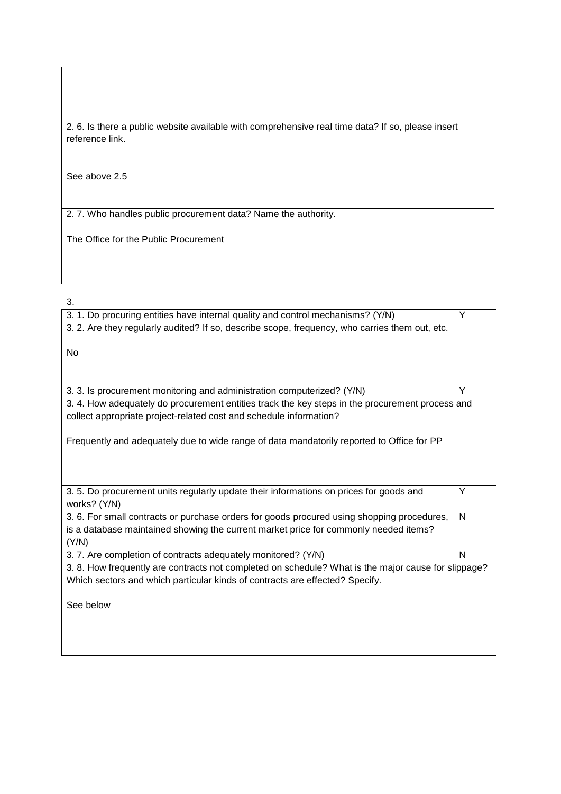2. 6. Is there a public website available with comprehensive real time data? If so, please insert reference link.

See above 2.5

2. 7. Who handles public procurement data? Name the authority.

The Office for the Public Procurement

| 3. 1. Do procuring entities have internal quality and control mechanisms? (Y/N)                     | Y |  |
|-----------------------------------------------------------------------------------------------------|---|--|
| 3. 2. Are they regularly audited? If so, describe scope, frequency, who carries them out, etc.      |   |  |
|                                                                                                     |   |  |
| No                                                                                                  |   |  |
|                                                                                                     |   |  |
|                                                                                                     | Y |  |
| 3. 3. Is procurement monitoring and administration computerized? (Y/N)                              |   |  |
| 3. 4. How adequately do procurement entities track the key steps in the procurement process and     |   |  |
| collect appropriate project-related cost and schedule information?                                  |   |  |
|                                                                                                     |   |  |
| Frequently and adequately due to wide range of data mandatorily reported to Office for PP           |   |  |
|                                                                                                     |   |  |
|                                                                                                     |   |  |
|                                                                                                     |   |  |
| 3.5. Do procurement units regularly update their informations on prices for goods and               | Y |  |
| works? (Y/N)                                                                                        |   |  |
| 3. 6. For small contracts or purchase orders for goods procured using shopping procedures,          | N |  |
| is a database maintained showing the current market price for commonly needed items?                |   |  |
| (Y/N)                                                                                               |   |  |
| 3.7. Are completion of contracts adequately monitored? (Y/N)                                        | N |  |
| 3. 8. How frequently are contracts not completed on schedule? What is the major cause for slippage? |   |  |
| Which sectors and which particular kinds of contracts are effected? Specify.                        |   |  |
|                                                                                                     |   |  |
| See below                                                                                           |   |  |
|                                                                                                     |   |  |
|                                                                                                     |   |  |
|                                                                                                     |   |  |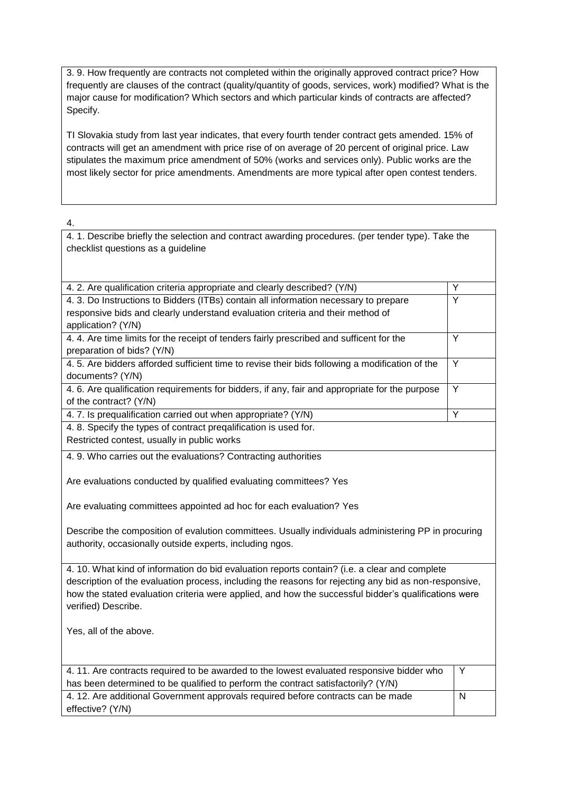3. 9. How frequently are contracts not completed within the originally approved contract price? How frequently are clauses of the contract (quality/quantity of goods, services, work) modified? What is the major cause for modification? Which sectors and which particular kinds of contracts are affected? Specify.

TI Slovakia study from last year indicates, that every fourth tender contract gets amended. 15% of contracts will get an amendment with price rise of on average of 20 percent of original price. Law stipulates the maximum price amendment of 50% (works and services only). Public works are the most likely sector for price amendments. Amendments are more typical after open contest tenders.

4.

4. 1. Describe briefly the selection and contract awarding procedures. (per tender type). Take the checklist questions as a guideline

| 4. 2. Are qualification criteria appropriate and clearly described? (Y/N)                             | Y<br>$\overline{Y}$ |  |
|-------------------------------------------------------------------------------------------------------|---------------------|--|
| 4. 3. Do Instructions to Bidders (ITBs) contain all information necessary to prepare                  |                     |  |
| responsive bids and clearly understand evaluation criteria and their method of                        |                     |  |
| application? (Y/N)                                                                                    | $\overline{Y}$      |  |
| 4. 4. Are time limits for the receipt of tenders fairly prescribed and sufficent for the              |                     |  |
| preparation of bids? (Y/N)                                                                            |                     |  |
| 4.5. Are bidders afforded sufficient time to revise their bids following a modification of the        | Y                   |  |
| documents? (Y/N)                                                                                      |                     |  |
| 4. 6. Are qualification requirements for bidders, if any, fair and appropriate for the purpose        | Y                   |  |
| of the contract? (Y/N)                                                                                |                     |  |
| 4.7. Is prequalification carried out when appropriate? (Y/N)                                          |                     |  |
| 4. 8. Specify the types of contract preqalification is used for.                                      |                     |  |
| Restricted contest, usually in public works                                                           |                     |  |
| 4. 9. Who carries out the evaluations? Contracting authorities                                        |                     |  |
|                                                                                                       |                     |  |
| Are evaluations conducted by qualified evaluating committees? Yes                                     |                     |  |
|                                                                                                       |                     |  |
| Are evaluating committees appointed ad hoc for each evaluation? Yes                                   |                     |  |
|                                                                                                       |                     |  |
| Describe the composition of evalution committees. Usually individuals administering PP in procuring   |                     |  |
| authority, occasionally outside experts, including ngos.                                              |                     |  |
|                                                                                                       |                     |  |
| 4. 10. What kind of information do bid evaluation reports contain? (i.e. a clear and complete         |                     |  |
| description of the evaluation process, including the reasons for rejecting any bid as non-responsive, |                     |  |
| how the stated evaluation criteria were applied, and how the successful bidder's qualifications were  |                     |  |
| verified) Describe.                                                                                   |                     |  |
|                                                                                                       |                     |  |
| Yes, all of the above.                                                                                |                     |  |
|                                                                                                       |                     |  |
|                                                                                                       |                     |  |
| 4.11. Are contracts required to be awarded to the lowest evaluated responsive bidder who              | Υ                   |  |
| has been determined to be qualified to perform the contract satisfactorily? (Y/N)                     |                     |  |
| 4. 12. Are additional Government approvals required before contracts can be made                      |                     |  |
| effective? (Y/N)                                                                                      |                     |  |